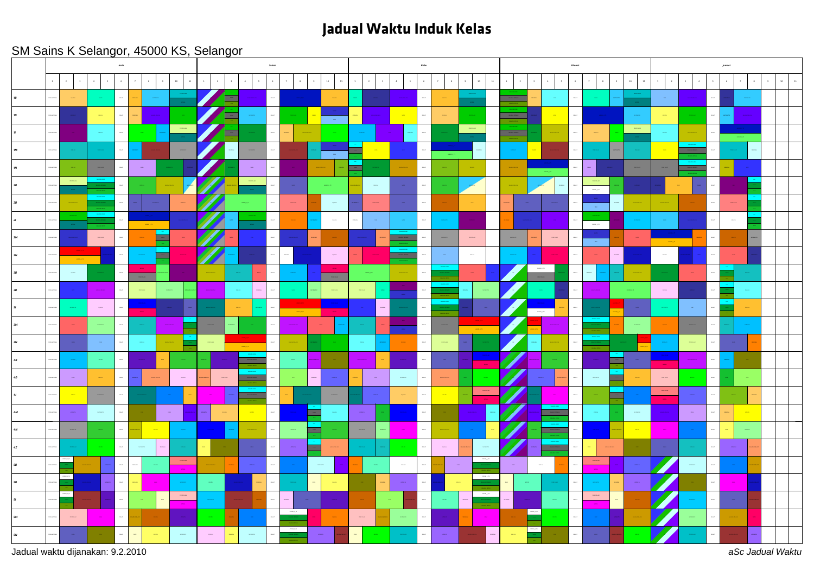## **Jadual Waktu Induk Kelas**

## SM Sains K Selangor, 45000 KS, Selangor



Jadual waktu dijanakan: 9.2.2010 *aSc Jadual Waktu*